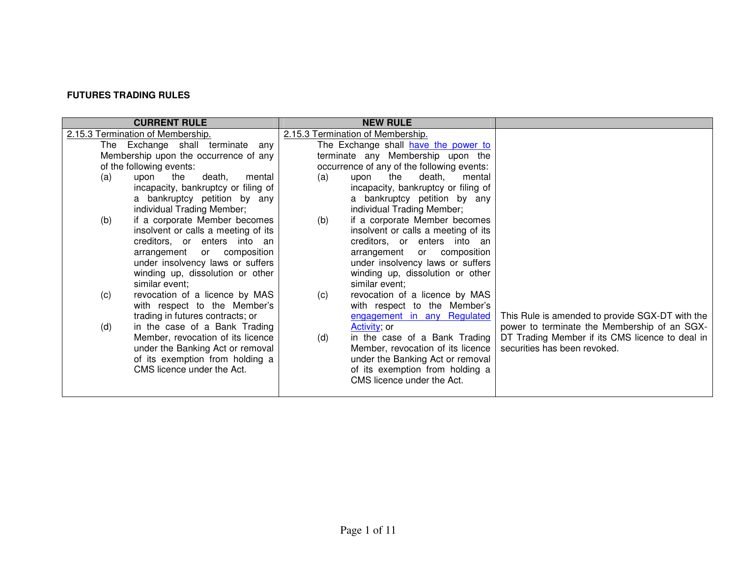# **FUTURES TRADING RULES**

| <b>CURRENT RULE</b>                              | <b>NEW RULE</b>                                                       |                                                 |
|--------------------------------------------------|-----------------------------------------------------------------------|-------------------------------------------------|
| 2.15.3 Termination of Membership.                | 2.15.3 Termination of Membership.                                     |                                                 |
| The Exchange shall terminate<br>anv              | The Exchange shall have the power to                                  |                                                 |
| Membership upon the occurrence of any            | terminate any Membership upon the                                     |                                                 |
| of the following events:                         | occurrence of any of the following events:                            |                                                 |
| death.<br>(a)<br>upon<br>the<br>mental           | the<br>death,<br>(a)<br>upon<br>mental                                |                                                 |
| incapacity, bankruptcy or filing of              | incapacity, bankruptcy or filing of                                   |                                                 |
| a bankruptcy petition by any                     | a bankruptcy petition by any                                          |                                                 |
| individual Trading Member;                       | individual Trading Member;                                            |                                                 |
| if a corporate Member becomes<br>(b)             | if a corporate Member becomes<br>(b)                                  |                                                 |
| insolvent or calls a meeting of its              | insolvent or calls a meeting of its                                   |                                                 |
| creditors, or enters into an                     | creditors, or enters into an                                          |                                                 |
| arrangement<br>or composition                    | arrangement<br>or composition                                         |                                                 |
| under insolvency laws or suffers                 | under insolvency laws or suffers                                      |                                                 |
| winding up, dissolution or other                 | winding up, dissolution or other                                      |                                                 |
| similar event;<br>revocation of a licence by MAS | similar event;                                                        |                                                 |
| (c)<br>with respect to the Member's              | revocation of a licence by MAS<br>(c)<br>with respect to the Member's |                                                 |
| trading in futures contracts; or                 | engagement in any Regulated                                           | This Rule is amended to provide SGX-DT with the |
| in the case of a Bank Trading<br>(d)             | Activity; or                                                          | power to terminate the Membership of an SGX-    |
| Member, revocation of its licence                | in the case of a Bank Trading<br>(d)                                  | DT Trading Member if its CMS licence to deal in |
| under the Banking Act or removal                 | Member, revocation of its licence                                     | securities has been revoked.                    |
| of its exemption from holding a                  | under the Banking Act or removal                                      |                                                 |
| CMS licence under the Act.                       | of its exemption from holding a                                       |                                                 |
|                                                  | CMS licence under the Act.                                            |                                                 |
|                                                  |                                                                       |                                                 |
|                                                  |                                                                       |                                                 |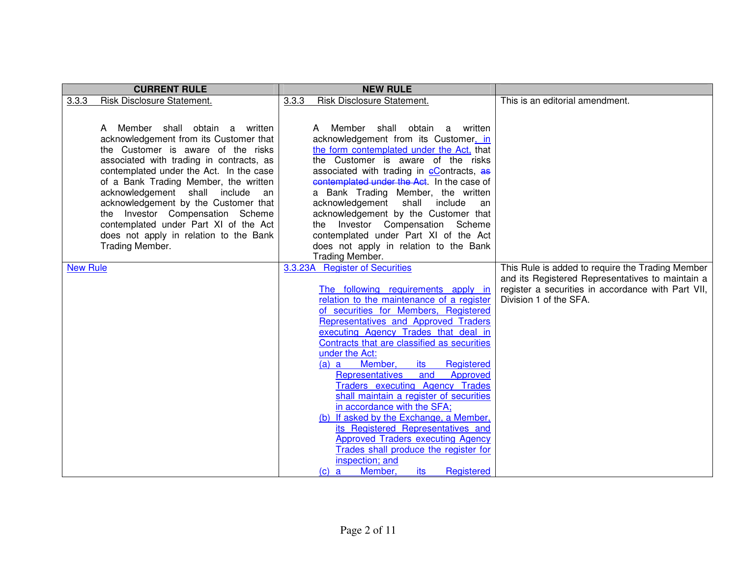| <b>CURRENT RULE</b><br><b>NEW RULE</b>                                                                                                                                                                                                                                                                                                                                                                                                                                                                                                                                                                                                                                                                                                                                                                                                                                                                                                                                                                                                                                                                                                                                                                                                                                                                                                                                                                                                                                                                                                                                                                                                                                                                                                                                                                         |                                                                                                                                                            |
|----------------------------------------------------------------------------------------------------------------------------------------------------------------------------------------------------------------------------------------------------------------------------------------------------------------------------------------------------------------------------------------------------------------------------------------------------------------------------------------------------------------------------------------------------------------------------------------------------------------------------------------------------------------------------------------------------------------------------------------------------------------------------------------------------------------------------------------------------------------------------------------------------------------------------------------------------------------------------------------------------------------------------------------------------------------------------------------------------------------------------------------------------------------------------------------------------------------------------------------------------------------------------------------------------------------------------------------------------------------------------------------------------------------------------------------------------------------------------------------------------------------------------------------------------------------------------------------------------------------------------------------------------------------------------------------------------------------------------------------------------------------------------------------------------------------|------------------------------------------------------------------------------------------------------------------------------------------------------------|
| Risk Disclosure Statement.<br><b>Risk Disclosure Statement.</b><br>3.3.3<br>3.3.3                                                                                                                                                                                                                                                                                                                                                                                                                                                                                                                                                                                                                                                                                                                                                                                                                                                                                                                                                                                                                                                                                                                                                                                                                                                                                                                                                                                                                                                                                                                                                                                                                                                                                                                              | This is an editorial amendment.                                                                                                                            |
| A Member shall obtain a written<br>A Member shall obtain a written<br>acknowledgement from its Customer that<br>acknowledgement from its Customer, in<br>the form contemplated under the Act, that<br>the Customer is aware of the risks<br>the Customer is aware of the risks<br>associated with trading in contracts, as<br>contemplated under the Act. In the case<br>associated with trading in eContracts, as<br>contemplated under the Act. In the case of<br>of a Bank Trading Member, the written<br>acknowledgement shall include<br>a Bank Trading Member, the written<br>an<br>acknowledgement by the Customer that<br>acknowledgement shall include<br>an<br>acknowledgement by the Customer that<br>the Investor Compensation Scheme<br>contemplated under Part XI of the Act<br>the Investor Compensation Scheme<br>contemplated under Part XI of the Act<br>does not apply in relation to the Bank<br>Trading Member.<br>does not apply in relation to the Bank<br>Trading Member.<br>3.3.23A Register of Securities<br><b>New Rule</b><br>The following requirements apply in<br>relation to the maintenance of a register<br>Division 1 of the SFA.<br>of securities for Members, Registered<br>Representatives and Approved Traders<br>executing Agency Trades that deal in<br>Contracts that are classified as securities<br>under the Act:<br>Member,<br>Registered<br>$(a)$ a<br>its<br><b>Representatives</b><br>Approved<br>and<br><b>Traders executing Agency Trades</b><br>shall maintain a register of securities<br>in accordance with the SFA;<br>(b) If asked by the Exchange, a Member,<br>its Registered Representatives and<br><b>Approved Traders executing Agency</b><br>Trades shall produce the register for<br>inspection; and<br>Member,<br>Registered<br>$(c)$ a<br>its | This Rule is added to require the Trading Member<br>and its Registered Representatives to maintain a<br>register a securities in accordance with Part VII, |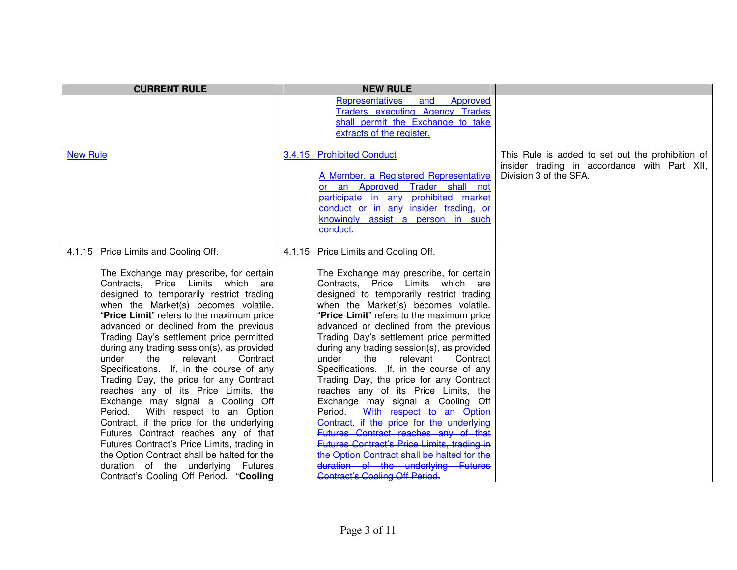| <b>CURRENT RULE</b>                                                                                                                                                                                                                                                                                                                                                                                                                                                                                                                                                                                                                                                                                                                                                                                                                                                                                                  | <b>NEW RULE</b>                                                                                                                                                                                                                                                                                                                                                                                                                                                                                                                                                                                                                                                                                                                                                                                                                                                                                            |                                                                                                                            |
|----------------------------------------------------------------------------------------------------------------------------------------------------------------------------------------------------------------------------------------------------------------------------------------------------------------------------------------------------------------------------------------------------------------------------------------------------------------------------------------------------------------------------------------------------------------------------------------------------------------------------------------------------------------------------------------------------------------------------------------------------------------------------------------------------------------------------------------------------------------------------------------------------------------------|------------------------------------------------------------------------------------------------------------------------------------------------------------------------------------------------------------------------------------------------------------------------------------------------------------------------------------------------------------------------------------------------------------------------------------------------------------------------------------------------------------------------------------------------------------------------------------------------------------------------------------------------------------------------------------------------------------------------------------------------------------------------------------------------------------------------------------------------------------------------------------------------------------|----------------------------------------------------------------------------------------------------------------------------|
|                                                                                                                                                                                                                                                                                                                                                                                                                                                                                                                                                                                                                                                                                                                                                                                                                                                                                                                      | <b>Representatives</b><br>Approved<br>and<br><b>Traders executing Agency Trades</b><br>shall permit the Exchange to take<br>extracts of the register.                                                                                                                                                                                                                                                                                                                                                                                                                                                                                                                                                                                                                                                                                                                                                      |                                                                                                                            |
| <b>New Rule</b>                                                                                                                                                                                                                                                                                                                                                                                                                                                                                                                                                                                                                                                                                                                                                                                                                                                                                                      | 3.4.15 Prohibited Conduct<br>A Member, a Registered Representative<br>or an Approved Trader shall not<br>participate in any prohibited market<br>conduct or in any insider trading, or<br>knowingly assist a person in such<br>conduct.                                                                                                                                                                                                                                                                                                                                                                                                                                                                                                                                                                                                                                                                    | This Rule is added to set out the prohibition of<br>insider trading in accordance with Part XII,<br>Division 3 of the SFA. |
| Price Limits and Cooling Off.<br>4.1.15<br>The Exchange may prescribe, for certain<br>Contracts, Price Limits which are<br>designed to temporarily restrict trading<br>when the Market(s) becomes volatile.<br>"Price Limit" refers to the maximum price<br>advanced or declined from the previous<br>Trading Day's settlement price permitted<br>during any trading session(s), as provided<br>under<br>the<br>relevant<br>Contract<br>Specifications. If, in the course of any<br>Trading Day, the price for any Contract<br>reaches any of its Price Limits, the<br>Exchange may signal a Cooling Off<br>With respect to an Option<br>Period.<br>Contract, if the price for the underlying<br>Futures Contract reaches any of that<br>Futures Contract's Price Limits, trading in<br>the Option Contract shall be halted for the<br>duration of the underlying Futures<br>Contract's Cooling Off Period. "Cooling | Price Limits and Cooling Off.<br>4.1.15<br>The Exchange may prescribe, for certain<br>Contracts, Price Limits which are<br>designed to temporarily restrict trading<br>when the Market(s) becomes volatile.<br>"Price Limit" refers to the maximum price<br>advanced or declined from the previous<br>Trading Day's settlement price permitted<br>during any trading session(s), as provided<br>under<br>the<br>relevant<br>Contract<br>Specifications. If, in the course of any<br>Trading Day, the price for any Contract<br>reaches any of its Price Limits, the<br>Exchange may signal a Cooling Off<br>With respect to an Option<br>Period.<br>Contract, if the price for the underlying<br>Futures Contract reaches any of that<br>Futures Contract's Price Limits, trading in<br>the Option Contract shall be halted for the<br>duration of the underlying Futures<br>Contract's Cooling Off Period |                                                                                                                            |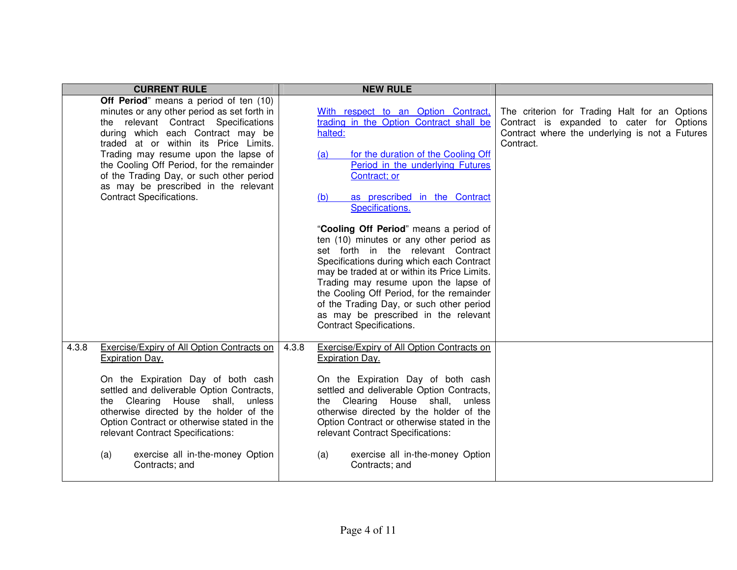|       | <b>CURRENT RULE</b>                                                                                                                                                                                                                                                                                                                                                                                                     |       | <b>NEW RULE</b>                                                                                                                                                                                                                                                                                                                                                                                                                                                                                                                                                                                                                                                                            |                                                                                                                                                           |
|-------|-------------------------------------------------------------------------------------------------------------------------------------------------------------------------------------------------------------------------------------------------------------------------------------------------------------------------------------------------------------------------------------------------------------------------|-------|--------------------------------------------------------------------------------------------------------------------------------------------------------------------------------------------------------------------------------------------------------------------------------------------------------------------------------------------------------------------------------------------------------------------------------------------------------------------------------------------------------------------------------------------------------------------------------------------------------------------------------------------------------------------------------------------|-----------------------------------------------------------------------------------------------------------------------------------------------------------|
|       | Off Period" means a period of ten (10)<br>minutes or any other period as set forth in<br>the relevant Contract Specifications<br>during which each Contract may be<br>traded at or within its Price Limits.<br>Trading may resume upon the lapse of<br>the Cooling Off Period, for the remainder<br>of the Trading Day, or such other period<br>as may be prescribed in the relevant<br><b>Contract Specifications.</b> |       | With respect to an Option Contract,<br>trading in the Option Contract shall be<br>halted:<br>for the duration of the Cooling Off<br>(a)<br>Period in the underlying Futures<br>Contract; or<br>as prescribed in the Contract<br>(b)<br>Specifications.<br>"Cooling Off Period" means a period of<br>ten (10) minutes or any other period as<br>set forth in the relevant Contract<br>Specifications during which each Contract<br>may be traded at or within its Price Limits.<br>Trading may resume upon the lapse of<br>the Cooling Off Period, for the remainder<br>of the Trading Day, or such other period<br>as may be prescribed in the relevant<br><b>Contract Specifications.</b> | The criterion for Trading Halt for an Options<br>Contract is expanded to cater for Options<br>Contract where the underlying is not a Futures<br>Contract. |
| 4.3.8 | Exercise/Expiry of All Option Contracts on<br>Expiration Day.<br>On the Expiration Day of both cash<br>settled and deliverable Option Contracts,<br>the Clearing House shall, unless<br>otherwise directed by the holder of the<br>Option Contract or otherwise stated in the<br>relevant Contract Specifications:<br>exercise all in-the-money Option<br>(a)<br>Contracts; and                                         | 4.3.8 | Exercise/Expiry of All Option Contracts on<br>Expiration Day.<br>On the Expiration Day of both cash<br>settled and deliverable Option Contracts,<br>the Clearing House shall, unless<br>otherwise directed by the holder of the<br>Option Contract or otherwise stated in the<br>relevant Contract Specifications:<br>exercise all in-the-money Option<br>(a)<br>Contracts; and                                                                                                                                                                                                                                                                                                            |                                                                                                                                                           |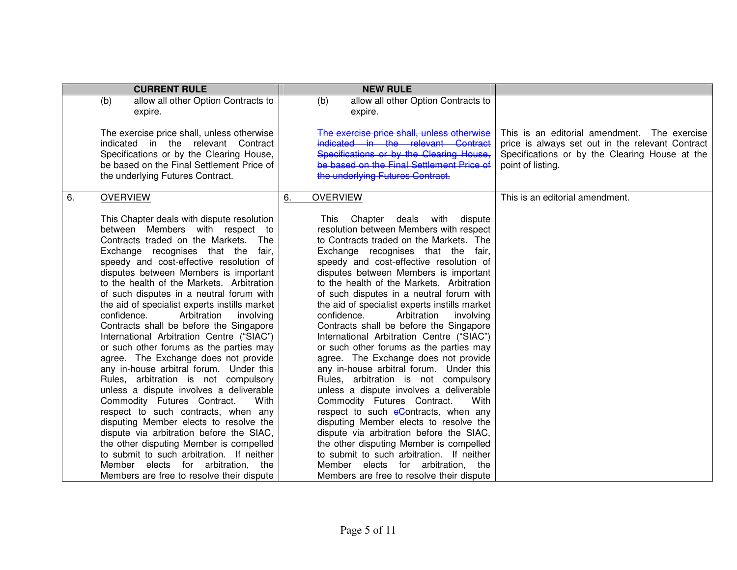| <b>CURRENT RULE</b>                                                                                                                                                                                                                                                                                                                                                                                                                                                                                                                                                                                                                                                                                                                                                                                                                                                                                                                                                                                                                                                                                | <b>NEW RULE</b>                                                                                                                                                                                                                                                                                                                                                                                                                                                                                                                                                                                                                                                                                                                                                                                                                                                                                                                                                                                                                                                                                  |                                                                                                                                                                         |
|----------------------------------------------------------------------------------------------------------------------------------------------------------------------------------------------------------------------------------------------------------------------------------------------------------------------------------------------------------------------------------------------------------------------------------------------------------------------------------------------------------------------------------------------------------------------------------------------------------------------------------------------------------------------------------------------------------------------------------------------------------------------------------------------------------------------------------------------------------------------------------------------------------------------------------------------------------------------------------------------------------------------------------------------------------------------------------------------------|--------------------------------------------------------------------------------------------------------------------------------------------------------------------------------------------------------------------------------------------------------------------------------------------------------------------------------------------------------------------------------------------------------------------------------------------------------------------------------------------------------------------------------------------------------------------------------------------------------------------------------------------------------------------------------------------------------------------------------------------------------------------------------------------------------------------------------------------------------------------------------------------------------------------------------------------------------------------------------------------------------------------------------------------------------------------------------------------------|-------------------------------------------------------------------------------------------------------------------------------------------------------------------------|
| (b)<br>allow all other Option Contracts to<br>expire.                                                                                                                                                                                                                                                                                                                                                                                                                                                                                                                                                                                                                                                                                                                                                                                                                                                                                                                                                                                                                                              | allow all other Option Contracts to<br>(b)<br>expire.                                                                                                                                                                                                                                                                                                                                                                                                                                                                                                                                                                                                                                                                                                                                                                                                                                                                                                                                                                                                                                            |                                                                                                                                                                         |
| The exercise price shall, unless otherwise<br>indicated in the relevant Contract<br>Specifications or by the Clearing House,<br>be based on the Final Settlement Price of<br>the underlying Futures Contract.                                                                                                                                                                                                                                                                                                                                                                                                                                                                                                                                                                                                                                                                                                                                                                                                                                                                                      | The exercise price shall, unless otherwise<br>indicated in the relevant Contract<br>Specifications or by the Clearing House,<br>he hased on the Final Settlement Price of<br>the underlying Futures Contract.                                                                                                                                                                                                                                                                                                                                                                                                                                                                                                                                                                                                                                                                                                                                                                                                                                                                                    | This is an editorial amendment. The exercise<br>price is always set out in the relevant Contract<br>Specifications or by the Clearing House at the<br>point of listing. |
| <b>OVERVIEW</b><br>6.                                                                                                                                                                                                                                                                                                                                                                                                                                                                                                                                                                                                                                                                                                                                                                                                                                                                                                                                                                                                                                                                              | <b>OVERVIEW</b><br>6.                                                                                                                                                                                                                                                                                                                                                                                                                                                                                                                                                                                                                                                                                                                                                                                                                                                                                                                                                                                                                                                                            | This is an editorial amendment.                                                                                                                                         |
| This Chapter deals with dispute resolution<br>between Members with respect to<br>Contracts traded on the Markets.<br>The<br>Exchange recognises that the<br>fair,<br>speedy and cost-effective resolution of<br>disputes between Members is important<br>to the health of the Markets. Arbitration<br>of such disputes in a neutral forum with<br>the aid of specialist experts instills market<br>Arbitration<br>confidence.<br>involving<br>Contracts shall be before the Singapore<br>International Arbitration Centre ("SIAC")<br>or such other forums as the parties may<br>agree. The Exchange does not provide<br>any in-house arbitral forum. Under this<br>Rules, arbitration is not compulsory<br>unless a dispute involves a deliverable<br>Commodity Futures Contract.<br>With<br>respect to such contracts, when any<br>disputing Member elects to resolve the<br>dispute via arbitration before the SIAC,<br>the other disputing Member is compelled<br>to submit to such arbitration. If neither<br>Member elects for arbitration, the<br>Members are free to resolve their dispute | This Chapter deals with<br>dispute<br>resolution between Members with respect<br>to Contracts traded on the Markets. The<br>Exchange recognises that the fair,<br>speedy and cost-effective resolution of<br>disputes between Members is important<br>to the health of the Markets. Arbitration<br>of such disputes in a neutral forum with<br>the aid of specialist experts instills market<br>Arbitration<br>confidence.<br>involving<br>Contracts shall be before the Singapore<br>International Arbitration Centre ("SIAC")<br>or such other forums as the parties may<br>agree. The Exchange does not provide<br>any in-house arbitral forum. Under this<br>Rules, arbitration is not compulsory<br>unless a dispute involves a deliverable<br>Commodity Futures Contract.<br>With<br>respect to such eContracts, when any<br>disputing Member elects to resolve the<br>dispute via arbitration before the SIAC,<br>the other disputing Member is compelled<br>to submit to such arbitration. If neither<br>Member elects for arbitration, the<br>Members are free to resolve their dispute |                                                                                                                                                                         |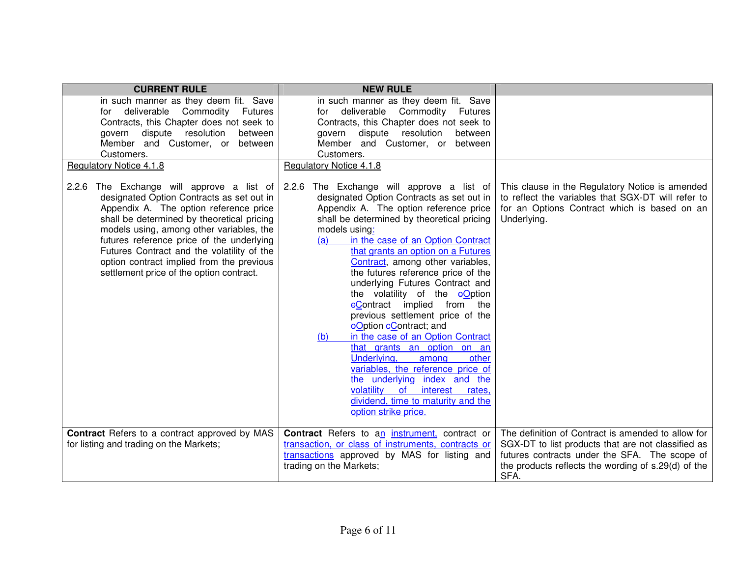| <b>CURRENT RULE</b>                                                                                                                                                                                                                                                                                                                                                                                            | <b>NEW RULE</b>                                                                                                                                                                                                                                                                                                                                                                                                                                                                                                                                                                                                                                                                                                                                                                                                             |                                                                                                                                                                                                                          |
|----------------------------------------------------------------------------------------------------------------------------------------------------------------------------------------------------------------------------------------------------------------------------------------------------------------------------------------------------------------------------------------------------------------|-----------------------------------------------------------------------------------------------------------------------------------------------------------------------------------------------------------------------------------------------------------------------------------------------------------------------------------------------------------------------------------------------------------------------------------------------------------------------------------------------------------------------------------------------------------------------------------------------------------------------------------------------------------------------------------------------------------------------------------------------------------------------------------------------------------------------------|--------------------------------------------------------------------------------------------------------------------------------------------------------------------------------------------------------------------------|
| in such manner as they deem fit. Save<br>deliverable Commodity<br>Futures<br>for<br>Contracts, this Chapter does not seek to<br>dispute resolution<br>between<br>govern<br>Member and Customer, or between<br>Customers.                                                                                                                                                                                       | in such manner as they deem fit. Save<br>for deliverable Commodity<br>Futures<br>Contracts, this Chapter does not seek to<br>govern dispute resolution<br>between<br>Member and Customer, or<br>between<br>Customers.                                                                                                                                                                                                                                                                                                                                                                                                                                                                                                                                                                                                       |                                                                                                                                                                                                                          |
| Regulatory Notice 4.1.8                                                                                                                                                                                                                                                                                                                                                                                        | Regulatory Notice 4.1.8                                                                                                                                                                                                                                                                                                                                                                                                                                                                                                                                                                                                                                                                                                                                                                                                     |                                                                                                                                                                                                                          |
| 2.2.6 The Exchange will approve a list of<br>designated Option Contracts as set out in<br>Appendix A. The option reference price<br>shall be determined by theoretical pricing<br>models using, among other variables, the<br>futures reference price of the underlying<br>Futures Contract and the volatility of the<br>option contract implied from the previous<br>settlement price of the option contract. | 2.2.6 The Exchange will approve a list of<br>designated Option Contracts as set out in<br>Appendix A. The option reference price<br>shall be determined by theoretical pricing<br>models using:<br>in the case of an Option Contract<br>(a)<br>that grants an option on a Futures<br>Contract, among other variables,<br>the futures reference price of the<br>underlying Futures Contract and<br>the volatility of the eOption<br>eContract implied from the<br>previous settlement price of the<br>eOption eContract; and<br>in the case of an Option Contract<br>(b)<br>that grants an option on an<br>Underlying,<br>other<br>among<br>variables, the reference price of<br>the underlying index and the<br>volatility<br><b>of</b><br>interest<br>rates,<br>dividend, time to maturity and the<br>option strike price. | This clause in the Regulatory Notice is amended<br>to reflect the variables that SGX-DT will refer to<br>for an Options Contract which is based on an<br>Underlying.                                                     |
| <b>Contract</b> Refers to a contract approved by MAS<br>for listing and trading on the Markets;                                                                                                                                                                                                                                                                                                                | <b>Contract</b> Refers to an <i>instrument</i> , contract or<br>transaction, or class of instruments, contracts or<br>transactions approved by MAS for listing and<br>trading on the Markets;                                                                                                                                                                                                                                                                                                                                                                                                                                                                                                                                                                                                                               | The definition of Contract is amended to allow for<br>SGX-DT to list products that are not classified as<br>futures contracts under the SFA. The scope of<br>the products reflects the wording of s.29(d) of the<br>SFA. |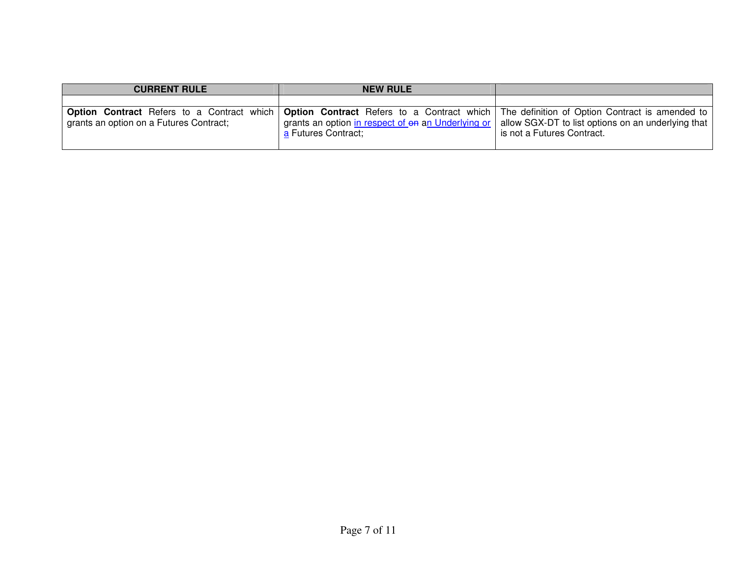| <b>CURRENT RULE</b>                     | <b>NEW RULE</b>                                                                                                                                                                                                                 |                                                                                    |
|-----------------------------------------|---------------------------------------------------------------------------------------------------------------------------------------------------------------------------------------------------------------------------------|------------------------------------------------------------------------------------|
| grants an option on a Futures Contract; | <b>Option Contract</b> Refers to a Contract which   Option Contract Refers to a Contract which   The definition of Option Contract is amended to  <br>grants an option in respect of on an Underlying or<br>a Futures Contract; | allow SGX-DT to list options on an underlying that  <br>is not a Futures Contract. |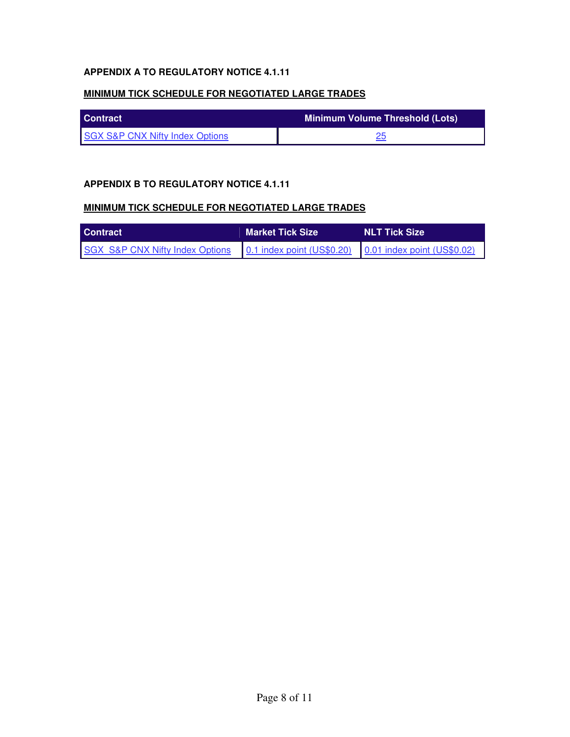## **APPENDIX A TO REGULATORY NOTICE 4.1.11**

#### **MINIMUM TICK SCHEDULE FOR NEGOTIATED LARGE TRADES**

| <b>Contract</b>                            | Minimum Volume Threshold (Lots) |
|--------------------------------------------|---------------------------------|
| <b>SGX S&amp;P CNX Nifty Index Options</b> |                                 |

### **APPENDIX B TO REGULATORY NOTICE 4.1.11**

#### **MINIMUM TICK SCHEDULE FOR NEGOTIATED LARGE TRADES**

| <b>Contract</b>                                                                        | <b>Market Tick Size</b> | <b>NLT Tick Size</b> |  |  |  |
|----------------------------------------------------------------------------------------|-------------------------|----------------------|--|--|--|
| SGX S&P CNX Nifty Index Options 0.1 index point (US\$0.20) 0.01 index point (US\$0.02) |                         |                      |  |  |  |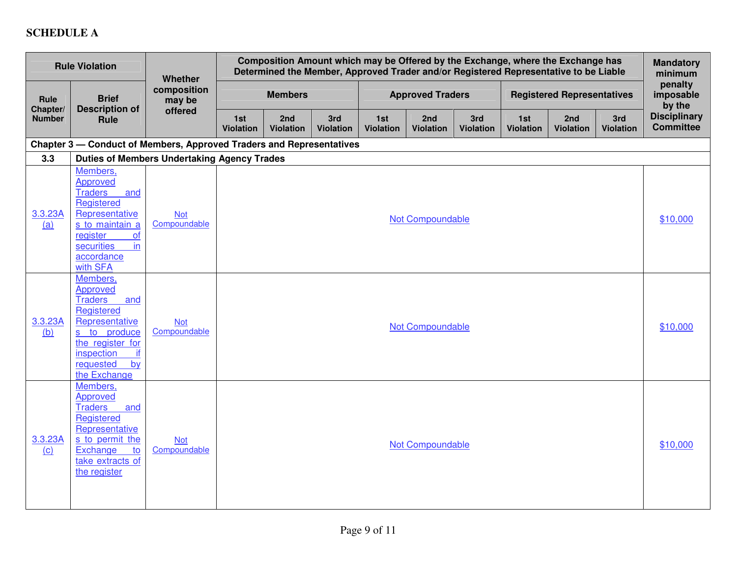# **SCHEDULE A**

|                     | <b>Rule Violation</b>                                                                                                                                                                 | Whether                    | Composition Amount which may be Offered by the Exchange, where the Exchange has<br>Determined the Member, Approved Trader and/or Registered Representative to be Liable |                         |                         |                         |                         |                         |                                   | <b>Mandatory</b><br>minimum         |                         |                                         |
|---------------------|---------------------------------------------------------------------------------------------------------------------------------------------------------------------------------------|----------------------------|-------------------------------------------------------------------------------------------------------------------------------------------------------------------------|-------------------------|-------------------------|-------------------------|-------------------------|-------------------------|-----------------------------------|-------------------------------------|-------------------------|-----------------------------------------|
| Rule<br>Chapter/    | <b>Brief</b><br><b>Description of</b>                                                                                                                                                 | composition<br>may be      | <b>Members</b>                                                                                                                                                          |                         | <b>Approved Traders</b> |                         |                         |                         | <b>Registered Representatives</b> |                                     |                         | penalty<br>imposable<br>by the          |
| <b>Number</b>       | Rule                                                                                                                                                                                  | offered                    | 1st<br><b>Violation</b>                                                                                                                                                 | 2nd<br><b>Violation</b> | 3rd<br><b>Violation</b> | 1st<br><b>Violation</b> | 2nd<br><b>Violation</b> | 3rd<br><b>Violation</b> | 1st<br><b>Violation</b>           | 2 <sub>nd</sub><br><b>Violation</b> | 3rd<br><b>Violation</b> | <b>Disciplinary</b><br><b>Committee</b> |
|                     | Chapter 3 - Conduct of Members, Approved Traders and Representatives                                                                                                                  |                            |                                                                                                                                                                         |                         |                         |                         |                         |                         |                                   |                                     |                         |                                         |
| 3.3                 | <b>Duties of Members Undertaking Agency Trades</b>                                                                                                                                    |                            |                                                                                                                                                                         |                         |                         |                         |                         |                         |                                   |                                     |                         |                                         |
| 3.3.23A<br>(a)      | Members,<br>Approved<br><b>Traders</b><br>and<br>Registered<br>Representative<br>s to maintain a<br>register<br>of<br>in<br>securities<br>accordance<br>with SFA                      | <b>Not</b><br>Compoundable | Not Compoundable                                                                                                                                                        |                         |                         |                         |                         | \$10,000                |                                   |                                     |                         |                                         |
| 3.3.23A<br>(b)      | Members,<br>Approved<br><b>Traders</b><br>and<br>Registered<br>Representative<br>s to produce<br>the register for<br>if<br>inspection<br>$\overline{by}$<br>requested<br>the Exchange | <b>Not</b><br>Compoundable | Not Compoundable                                                                                                                                                        |                         |                         |                         |                         | \$10,000                |                                   |                                     |                         |                                         |
| 3.3.23A<br>$\Omega$ | Members,<br><b>Approved</b><br><b>Traders</b><br>and<br>Registered<br>Representative<br>s to permit the<br>Exchange<br>to<br>take extracts of<br>the register                         | <b>Not</b><br>Compoundable | Not Compoundable                                                                                                                                                        |                         |                         |                         |                         | \$10,000                |                                   |                                     |                         |                                         |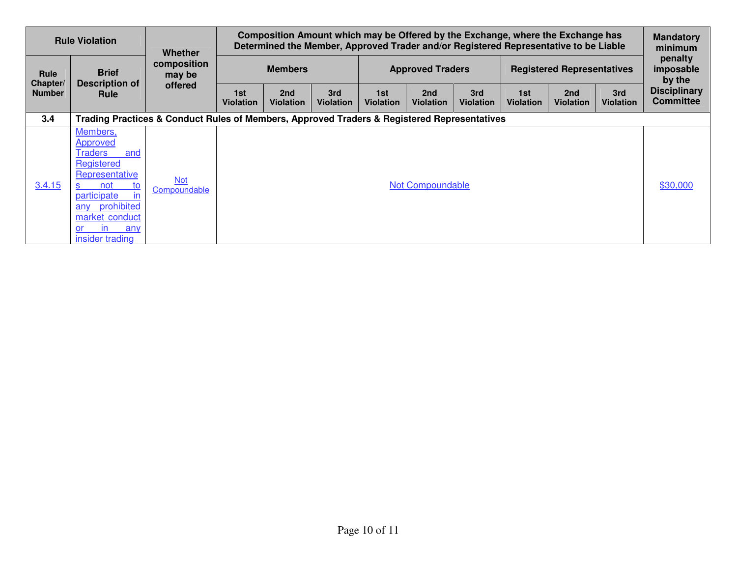|                           | <b>Rule Violation</b>                                                                                                                                                                | <b>Whether</b>             | Composition Amount which may be Offered by the Exchange, where the Exchange has<br>Determined the Member, Approved Trader and/or Registered Representative to be Liable |                                                                                             |                         |                         |                         |                         | <b>Mandatory</b><br>minimum |                         |                         |                                                   |  |                                   |  |  |
|---------------------------|--------------------------------------------------------------------------------------------------------------------------------------------------------------------------------------|----------------------------|-------------------------------------------------------------------------------------------------------------------------------------------------------------------------|---------------------------------------------------------------------------------------------|-------------------------|-------------------------|-------------------------|-------------------------|-----------------------------|-------------------------|-------------------------|---------------------------------------------------|--|-----------------------------------|--|--|
| <b>Rule</b>               | <b>Brief</b>                                                                                                                                                                         | composition<br>may be      | <b>Members</b>                                                                                                                                                          |                                                                                             |                         |                         |                         |                         |                             |                         | <b>Approved Traders</b> |                                                   |  | <b>Registered Representatives</b> |  |  |
| Chapter/<br><b>Number</b> | <b>Description of</b><br><b>Rule</b>                                                                                                                                                 | offered                    | 1st<br>Violation                                                                                                                                                        | 2nd<br><b>Violation</b>                                                                     | 3rd<br><b>Violation</b> | 1st<br><b>Violation</b> | 2nd<br><b>Violation</b> | 3rd<br><b>Violation</b> | 1st<br><b>Violation</b>     | 2nd<br><b>Violation</b> | 3rd<br><b>Violation</b> | by the<br><b>Disciplinary</b><br><b>Committee</b> |  |                                   |  |  |
| 3.4                       |                                                                                                                                                                                      |                            |                                                                                                                                                                         | Trading Practices & Conduct Rules of Members, Approved Traders & Registered Representatives |                         |                         |                         |                         |                             |                         |                         |                                                   |  |                                   |  |  |
| 3.4.15                    | Members,<br>Approved<br><b>Traders</b><br>and<br>Registered<br>Representative<br>not<br>to<br>S.<br>participate<br>any prohibited<br>market conduct<br>any<br>.or<br>insider trading | <b>Not</b><br>Compoundable |                                                                                                                                                                         |                                                                                             |                         |                         | Not Compoundable        |                         |                             |                         |                         | \$30,000                                          |  |                                   |  |  |